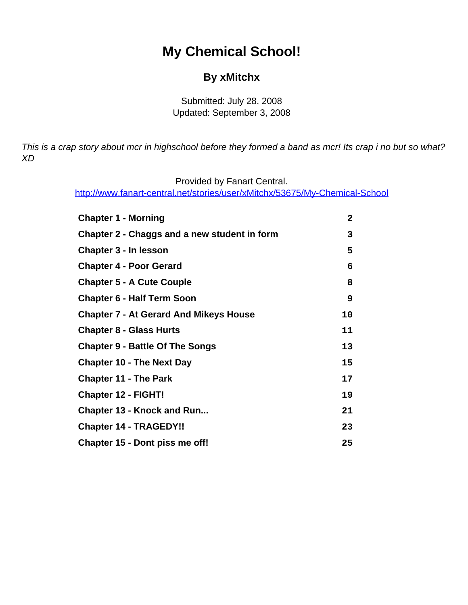# **My Chemical School!**

#### **By xMitchx**

Submitted: July 28, 2008 Updated: September 3, 2008

<span id="page-0-0"></span>This is a crap story about mcr in highschool before they formed a band as mcr! Its crap i no but so what? XD

Provided by Fanart Central.

[http://www.fanart-central.net/stories/user/xMitchx/53675/My-Chemical-School](#page-0-0)

| <b>Chapter 1 - Morning</b>                    | $\mathbf{2}$ |
|-----------------------------------------------|--------------|
| Chapter 2 - Chaggs and a new student in form  | 3            |
| <b>Chapter 3 - In lesson</b>                  | 5            |
| <b>Chapter 4 - Poor Gerard</b>                | 6            |
| <b>Chapter 5 - A Cute Couple</b>              | 8            |
| <b>Chapter 6 - Half Term Soon</b>             | 9            |
| <b>Chapter 7 - At Gerard And Mikeys House</b> | 10           |
| <b>Chapter 8 - Glass Hurts</b>                | 11           |
| <b>Chapter 9 - Battle Of The Songs</b>        | 13           |
| <b>Chapter 10 - The Next Day</b>              | 15           |
| <b>Chapter 11 - The Park</b>                  | 17           |
| <b>Chapter 12 - FIGHT!</b>                    | 19           |
| <b>Chapter 13 - Knock and Run</b>             | 21           |
| <b>Chapter 14 - TRAGEDY!!</b>                 | 23           |
| Chapter 15 - Dont piss me off!                | 25           |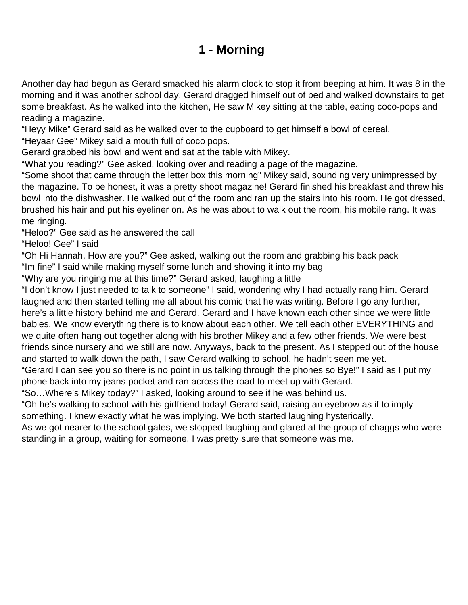## **1 - Morning**

<span id="page-1-0"></span>Another day had begun as Gerard smacked his alarm clock to stop it from beeping at him. It was 8 in the morning and it was another school day. Gerard dragged himself out of bed and walked downstairs to get some breakfast. As he walked into the kitchen, He saw Mikey sitting at the table, eating coco-pops and reading a magazine.

"Heyy Mike" Gerard said as he walked over to the cupboard to get himself a bowl of cereal.

"Heyaar Gee" Mikey said a mouth full of coco pops.

Gerard grabbed his bowl and went and sat at the table with Mikey.

"What you reading?" Gee asked, looking over and reading a page of the magazine.

"Some shoot that came through the letter box this morning" Mikey said, sounding very unimpressed by the magazine. To be honest, it was a pretty shoot magazine! Gerard finished his breakfast and threw his bowl into the dishwasher. He walked out of the room and ran up the stairs into his room. He got dressed, brushed his hair and put his eyeliner on. As he was about to walk out the room, his mobile rang. It was me ringing.

"Heloo?" Gee said as he answered the call

"Heloo! Gee" I said

"Oh Hi Hannah, How are you?" Gee asked, walking out the room and grabbing his back pack

"Im fine" I said while making myself some lunch and shoving it into my bag

"Why are you ringing me at this time?" Gerard asked, laughing a little

"I don't know I just needed to talk to someone" I said, wondering why I had actually rang him. Gerard laughed and then started telling me all about his comic that he was writing. Before I go any further, here's a little history behind me and Gerard. Gerard and I have known each other since we were little babies. We know everything there is to know about each other. We tell each other EVERYTHING and we quite often hang out together along with his brother Mikey and a few other friends. We were best friends since nursery and we still are now. Anyways, back to the present. As I stepped out of the house and started to walk down the path, I saw Gerard walking to school, he hadn't seen me yet.

"Gerard I can see you so there is no point in us talking through the phones so Bye!" I said as I put my phone back into my jeans pocket and ran across the road to meet up with Gerard.

"So…Where's Mikey today?" I asked, looking around to see if he was behind us.

"Oh he's walking to school with his girlfriend today! Gerard said, raising an eyebrow as if to imply something. I knew exactly what he was implying. We both started laughing hysterically.

As we got nearer to the school gates, we stopped laughing and glared at the group of chaggs who were standing in a group, waiting for someone. I was pretty sure that someone was me.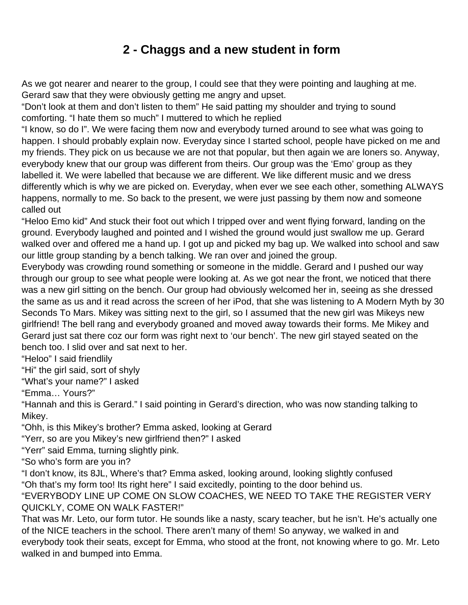## **2 - Chaggs and a new student in form**

<span id="page-2-0"></span>As we got nearer and nearer to the group, I could see that they were pointing and laughing at me. Gerard saw that they were obviously getting me angry and upset.

"Don't look at them and don't listen to them" He said patting my shoulder and trying to sound comforting. "I hate them so much" I muttered to which he replied

"I know, so do I". We were facing them now and everybody turned around to see what was going to happen. I should probably explain now. Everyday since I started school, people have picked on me and my friends. They pick on us because we are not that popular, but then again we are loners so. Anyway, everybody knew that our group was different from theirs. Our group was the 'Emo' group as they labelled it. We were labelled that because we are different. We like different music and we dress differently which is why we are picked on. Everyday, when ever we see each other, something ALWAYS happens, normally to me. So back to the present, we were just passing by them now and someone called out

"Heloo Emo kid" And stuck their foot out which I tripped over and went flying forward, landing on the ground. Everybody laughed and pointed and I wished the ground would just swallow me up. Gerard walked over and offered me a hand up. I got up and picked my bag up. We walked into school and saw our little group standing by a bench talking. We ran over and joined the group.

Everybody was crowding round something or someone in the middle. Gerard and I pushed our way through our group to see what people were looking at. As we got near the front, we noticed that there was a new girl sitting on the bench. Our group had obviously welcomed her in, seeing as she dressed the same as us and it read across the screen of her iPod, that she was listening to A Modern Myth by 30 Seconds To Mars. Mikey was sitting next to the girl, so I assumed that the new girl was Mikeys new girlfriend! The bell rang and everybody groaned and moved away towards their forms. Me Mikey and Gerard just sat there coz our form was right next to 'our bench'. The new girl stayed seated on the bench too. I slid over and sat next to her.

"Heloo" I said friendlily

"Hi" the girl said, sort of shyly

"What's your name?" I asked

"Emma… Yours?"

"Hannah and this is Gerard." I said pointing in Gerard's direction, who was now standing talking to Mikey.

"Ohh, is this Mikey's brother? Emma asked, looking at Gerard

"Yerr, so are you Mikey's new girlfriend then?" I asked

"Yerr" said Emma, turning slightly pink.

"So who's form are you in?

"I don't know, its 8JL, Where's that? Emma asked, looking around, looking slightly confused "Oh that's my form too! Its right here" I said excitedly, pointing to the door behind us.

"EVERYBODY LINE UP COME ON SLOW COACHES, WE NEED TO TAKE THE REGISTER VERY QUICKLY, COME ON WALK FASTER!"

That was Mr. Leto, our form tutor. He sounds like a nasty, scary teacher, but he isn't. He's actually one of the NICE teachers in the school. There aren't many of them! So anyway, we walked in and everybody took their seats, except for Emma, who stood at the front, not knowing where to go. Mr. Leto walked in and bumped into Emma.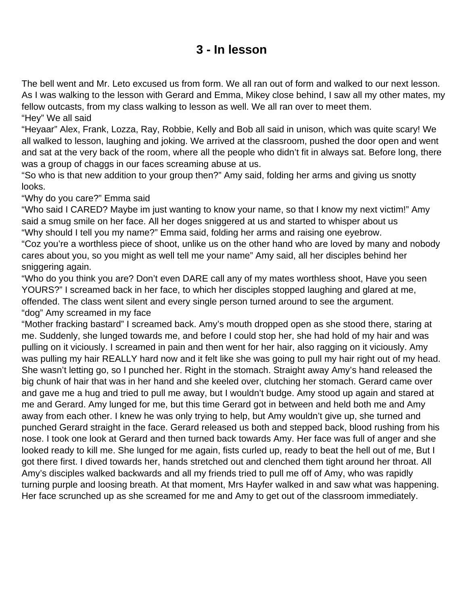#### **3 - In lesson**

<span id="page-4-0"></span>The bell went and Mr. Leto excused us from form. We all ran out of form and walked to our next lesson. As I was walking to the lesson with Gerard and Emma, Mikey close behind, I saw all my other mates, my fellow outcasts, from my class walking to lesson as well. We all ran over to meet them. "Hey" We all said

"Heyaar" Alex, Frank, Lozza, Ray, Robbie, Kelly and Bob all said in unison, which was quite scary! We all walked to lesson, laughing and joking. We arrived at the classroom, pushed the door open and went and sat at the very back of the room, where all the people who didn't fit in always sat. Before long, there was a group of chaggs in our faces screaming abuse at us.

"So who is that new addition to your group then?" Amy said, folding her arms and giving us snotty looks.

"Why do you care?" Emma said

"Who said I CARED? Maybe im just wanting to know your name, so that I know my next victim!" Amy said a smug smile on her face. All her doges sniggered at us and started to whisper about us "Why should I tell you my name?" Emma said, folding her arms and raising one eyebrow.

"Coz you're a worthless piece of shoot, unlike us on the other hand who are loved by many and nobody cares about you, so you might as well tell me your name" Amy said, all her disciples behind her sniggering again.

"Who do you think you are? Don't even DARE call any of my mates worthless shoot, Have you seen YOURS?" I screamed back in her face, to which her disciples stopped laughing and glared at me, offended. The class went silent and every single person turned around to see the argument. "dog" Amy screamed in my face

"Mother fracking bastard" I screamed back. Amy's mouth dropped open as she stood there, staring at me. Suddenly, she lunged towards me, and before I could stop her, she had hold of my hair and was pulling on it viciously. I screamed in pain and then went for her hair, also ragging on it viciously. Amy was pulling my hair REALLY hard now and it felt like she was going to pull my hair right out of my head. She wasn't letting go, so I punched her. Right in the stomach. Straight away Amy's hand released the big chunk of hair that was in her hand and she keeled over, clutching her stomach. Gerard came over and gave me a hug and tried to pull me away, but I wouldn't budge. Amy stood up again and stared at me and Gerard. Amy lunged for me, but this time Gerard got in between and held both me and Amy away from each other. I knew he was only trying to help, but Amy wouldn't give up, she turned and punched Gerard straight in the face. Gerard released us both and stepped back, blood rushing from his nose. I took one look at Gerard and then turned back towards Amy. Her face was full of anger and she looked ready to kill me. She lunged for me again, fists curled up, ready to beat the hell out of me, But I got there first. I dived towards her, hands stretched out and clenched them tight around her throat. All Amy's disciples walked backwards and all my friends tried to pull me off of Amy, who was rapidly turning purple and loosing breath. At that moment, Mrs Hayfer walked in and saw what was happening. Her face scrunched up as she screamed for me and Amy to get out of the classroom immediately.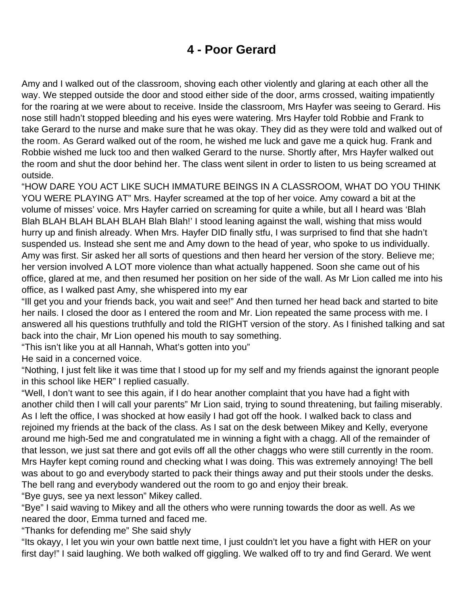## **4 - Poor Gerard**

<span id="page-5-0"></span>Amy and I walked out of the classroom, shoving each other violently and glaring at each other all the way. We stepped outside the door and stood either side of the door, arms crossed, waiting impatiently for the roaring at we were about to receive. Inside the classroom, Mrs Hayfer was seeing to Gerard. His nose still hadn't stopped bleeding and his eyes were watering. Mrs Hayfer told Robbie and Frank to take Gerard to the nurse and make sure that he was okay. They did as they were told and walked out of the room. As Gerard walked out of the room, he wished me luck and gave me a quick hug. Frank and Robbie wished me luck too and then walked Gerard to the nurse. Shortly after, Mrs Hayfer walked out the room and shut the door behind her. The class went silent in order to listen to us being screamed at outside.

"HOW DARE YOU ACT LIKE SUCH IMMATURE BEINGS IN A CLASSROOM, WHAT DO YOU THINK YOU WERE PLAYING AT" Mrs. Hayfer screamed at the top of her voice. Amy coward a bit at the volume of misses' voice. Mrs Hayfer carried on screaming for quite a while, but all I heard was 'Blah Blah BLAH BLAH BLAH BLAH Blah Blah!' I stood leaning against the wall, wishing that miss would hurry up and finish already. When Mrs. Hayfer DID finally stfu, I was surprised to find that she hadn't suspended us. Instead she sent me and Amy down to the head of year, who spoke to us individually. Amy was first. Sir asked her all sorts of questions and then heard her version of the story. Believe me; her version involved A LOT more violence than what actually happened. Soon she came out of his office, glared at me, and then resumed her position on her side of the wall. As Mr Lion called me into his office, as I walked past Amy, she whispered into my ear

"Ill get you and your friends back, you wait and see!" And then turned her head back and started to bite her nails. I closed the door as I entered the room and Mr. Lion repeated the same process with me. I answered all his questions truthfully and told the RIGHT version of the story. As I finished talking and sat back into the chair, Mr Lion opened his mouth to say something.

"This isn't like you at all Hannah, What's gotten into you"

He said in a concerned voice.

"Nothing, I just felt like it was time that I stood up for my self and my friends against the ignorant people in this school like HER" I replied casually.

"Well, I don't want to see this again, if I do hear another complaint that you have had a fight with another child then I will call your parents" Mr Lion said, trying to sound threatening, but failing miserably. As I left the office, I was shocked at how easily I had got off the hook. I walked back to class and rejoined my friends at the back of the class. As I sat on the desk between Mikey and Kelly, everyone around me high-5ed me and congratulated me in winning a fight with a chagg. All of the remainder of that lesson, we just sat there and got evils off all the other chaggs who were still currently in the room. Mrs Hayfer kept coming round and checking what I was doing. This was extremely annoying! The bell was about to go and everybody started to pack their things away and put their stools under the desks. The bell rang and everybody wandered out the room to go and enjoy their break.

"Bye guys, see ya next lesson" Mikey called.

"Bye" I said waving to Mikey and all the others who were running towards the door as well. As we neared the door, Emma turned and faced me.

"Thanks for defending me" She said shyly

"Its okayy, I let you win your own battle next time, I just couldn't let you have a fight with HER on your first day!" I said laughing. We both walked off giggling. We walked off to try and find Gerard. We went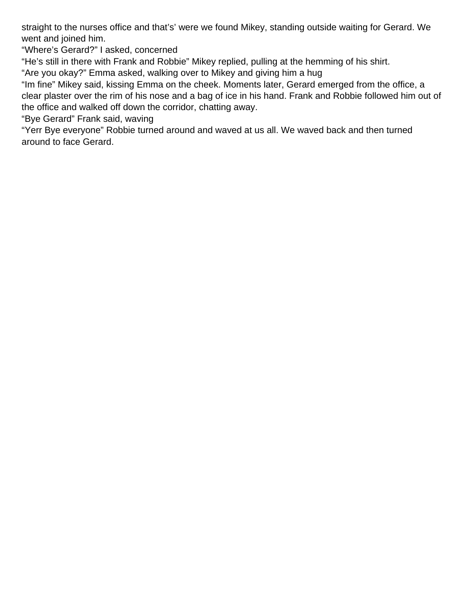straight to the nurses office and that's' were we found Mikey, standing outside waiting for Gerard. We went and joined him.

"Where's Gerard?" I asked, concerned

"He's still in there with Frank and Robbie" Mikey replied, pulling at the hemming of his shirt.

"Are you okay?" Emma asked, walking over to Mikey and giving him a hug

"Im fine" Mikey said, kissing Emma on the cheek. Moments later, Gerard emerged from the office, a clear plaster over the rim of his nose and a bag of ice in his hand. Frank and Robbie followed him out of the office and walked off down the corridor, chatting away.

"Bye Gerard" Frank said, waving

"Yerr Bye everyone" Robbie turned around and waved at us all. We waved back and then turned around to face Gerard.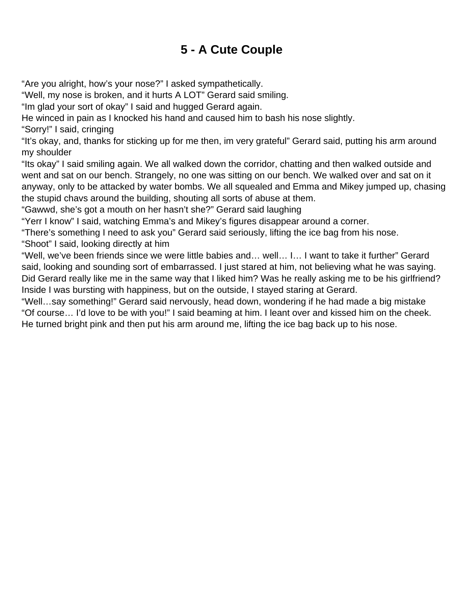# **5 - A Cute Couple**

<span id="page-7-0"></span>"Are you alright, how's your nose?" I asked sympathetically.

"Well, my nose is broken, and it hurts A LOT" Gerard said smiling.

"Im glad your sort of okay" I said and hugged Gerard again.

He winced in pain as I knocked his hand and caused him to bash his nose slightly.

"Sorry!" I said, cringing

"It's okay, and, thanks for sticking up for me then, im very grateful" Gerard said, putting his arm around my shoulder

"Its okay" I said smiling again. We all walked down the corridor, chatting and then walked outside and went and sat on our bench. Strangely, no one was sitting on our bench. We walked over and sat on it anyway, only to be attacked by water bombs. We all squealed and Emma and Mikey jumped up, chasing the stupid chavs around the building, shouting all sorts of abuse at them.

"Gawwd, she's got a mouth on her hasn't she?" Gerard said laughing

"Yerr I know" I said, watching Emma's and Mikey's figures disappear around a corner.

"There's something I need to ask you" Gerard said seriously, lifting the ice bag from his nose.

"Shoot" I said, looking directly at him

"Well, we've been friends since we were little babies and… well… I… I want to take it further" Gerard said, looking and sounding sort of embarrassed. I just stared at him, not believing what he was saying. Did Gerard really like me in the same way that I liked him? Was he really asking me to be his girlfriend? Inside I was bursting with happiness, but on the outside, I stayed staring at Gerard.

"Well…say something!" Gerard said nervously, head down, wondering if he had made a big mistake "Of course… I'd love to be with you!" I said beaming at him. I leant over and kissed him on the cheek. He turned bright pink and then put his arm around me, lifting the ice bag back up to his nose.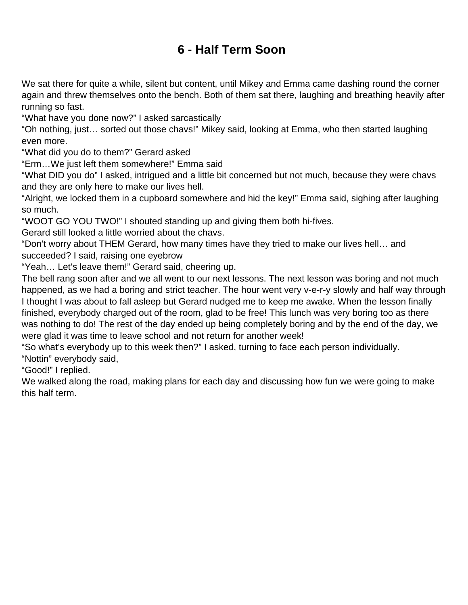# **6 - Half Term Soon**

<span id="page-8-0"></span>We sat there for quite a while, silent but content, until Mikey and Emma came dashing round the corner again and threw themselves onto the bench. Both of them sat there, laughing and breathing heavily after running so fast.

"What have you done now?" I asked sarcastically

"Oh nothing, just… sorted out those chavs!" Mikey said, looking at Emma, who then started laughing even more.

"What did you do to them?" Gerard asked

"Erm…We just left them somewhere!" Emma said

"What DID you do" I asked, intrigued and a little bit concerned but not much, because they were chavs and they are only here to make our lives hell.

"Alright, we locked them in a cupboard somewhere and hid the key!" Emma said, sighing after laughing so much.

"WOOT GO YOU TWO!" I shouted standing up and giving them both hi-fives.

Gerard still looked a little worried about the chavs.

"Don't worry about THEM Gerard, how many times have they tried to make our lives hell… and succeeded? I said, raising one eyebrow

"Yeah… Let's leave them!" Gerard said, cheering up.

The bell rang soon after and we all went to our next lessons. The next lesson was boring and not much happened, as we had a boring and strict teacher. The hour went very v-e-r-y slowly and half way through I thought I was about to fall asleep but Gerard nudged me to keep me awake. When the lesson finally finished, everybody charged out of the room, glad to be free! This lunch was very boring too as there was nothing to do! The rest of the day ended up being completely boring and by the end of the day, we were glad it was time to leave school and not return for another week!

"So what's everybody up to this week then?" I asked, turning to face each person individually.

"Nottin" everybody said,

"Good!" I replied.

We walked along the road, making plans for each day and discussing how fun we were going to make this half term.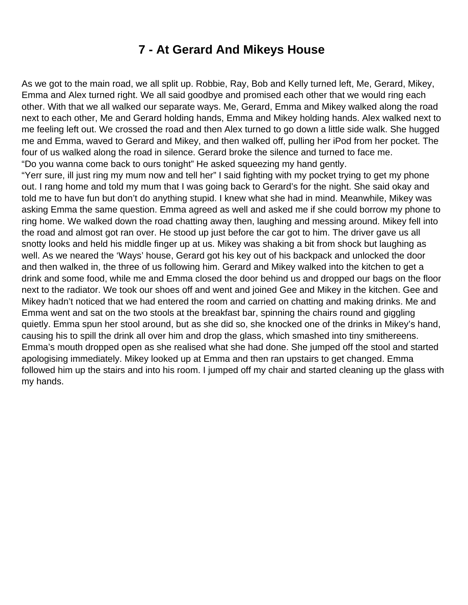### **7 - At Gerard And Mikeys House**

<span id="page-9-0"></span>As we got to the main road, we all split up. Robbie, Ray, Bob and Kelly turned left, Me, Gerard, Mikey, Emma and Alex turned right. We all said goodbye and promised each other that we would ring each other. With that we all walked our separate ways. Me, Gerard, Emma and Mikey walked along the road next to each other, Me and Gerard holding hands, Emma and Mikey holding hands. Alex walked next to me feeling left out. We crossed the road and then Alex turned to go down a little side walk. She hugged me and Emma, waved to Gerard and Mikey, and then walked off, pulling her iPod from her pocket. The four of us walked along the road in silence. Gerard broke the silence and turned to face me. "Do you wanna come back to ours tonight" He asked squeezing my hand gently.

"Yerr sure, ill just ring my mum now and tell her" I said fighting with my pocket trying to get my phone out. I rang home and told my mum that I was going back to Gerard's for the night. She said okay and told me to have fun but don't do anything stupid. I knew what she had in mind. Meanwhile, Mikey was asking Emma the same question. Emma agreed as well and asked me if she could borrow my phone to ring home. We walked down the road chatting away then, laughing and messing around. Mikey fell into the road and almost got ran over. He stood up just before the car got to him. The driver gave us all snotty looks and held his middle finger up at us. Mikey was shaking a bit from shock but laughing as well. As we neared the 'Ways' house, Gerard got his key out of his backpack and unlocked the door and then walked in, the three of us following him. Gerard and Mikey walked into the kitchen to get a drink and some food, while me and Emma closed the door behind us and dropped our bags on the floor next to the radiator. We took our shoes off and went and joined Gee and Mikey in the kitchen. Gee and Mikey hadn't noticed that we had entered the room and carried on chatting and making drinks. Me and Emma went and sat on the two stools at the breakfast bar, spinning the chairs round and giggling quietly. Emma spun her stool around, but as she did so, she knocked one of the drinks in Mikey's hand, causing his to spill the drink all over him and drop the glass, which smashed into tiny smithereens. Emma's mouth dropped open as she realised what she had done. She jumped off the stool and started apologising immediately. Mikey looked up at Emma and then ran upstairs to get changed. Emma followed him up the stairs and into his room. I jumped off my chair and started cleaning up the glass with my hands.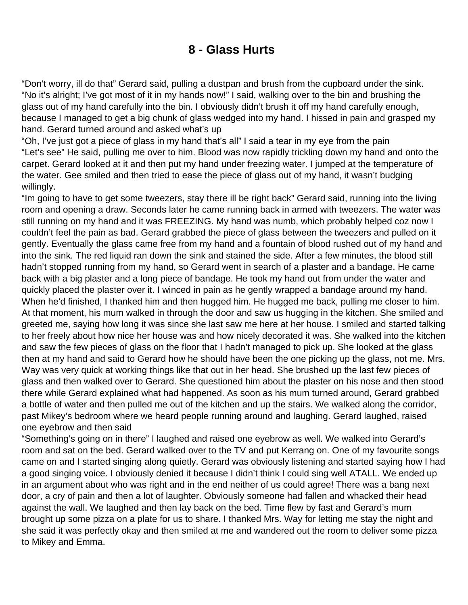#### **8 - Glass Hurts**

<span id="page-10-0"></span>"Don't worry, ill do that" Gerard said, pulling a dustpan and brush from the cupboard under the sink. "No it's alright; I've got most of it in my hands now!" I said, walking over to the bin and brushing the glass out of my hand carefully into the bin. I obviously didn't brush it off my hand carefully enough, because I managed to get a big chunk of glass wedged into my hand. I hissed in pain and grasped my hand. Gerard turned around and asked what's up

"Oh, I've just got a piece of glass in my hand that's all" I said a tear in my eye from the pain "Let's see" He said, pulling me over to him. Blood was now rapidly trickling down my hand and onto the carpet. Gerard looked at it and then put my hand under freezing water. I jumped at the temperature of the water. Gee smiled and then tried to ease the piece of glass out of my hand, it wasn't budging willingly.

"Im going to have to get some tweezers, stay there ill be right back" Gerard said, running into the living room and opening a draw. Seconds later he came running back in armed with tweezers. The water was still running on my hand and it was FREEZING. My hand was numb, which probably helped coz now I couldn't feel the pain as bad. Gerard grabbed the piece of glass between the tweezers and pulled on it gently. Eventually the glass came free from my hand and a fountain of blood rushed out of my hand and into the sink. The red liquid ran down the sink and stained the side. After a few minutes, the blood still hadn't stopped running from my hand, so Gerard went in search of a plaster and a bandage. He came back with a big plaster and a long piece of bandage. He took my hand out from under the water and quickly placed the plaster over it. I winced in pain as he gently wrapped a bandage around my hand. When he'd finished, I thanked him and then hugged him. He hugged me back, pulling me closer to him. At that moment, his mum walked in through the door and saw us hugging in the kitchen. She smiled and greeted me, saying how long it was since she last saw me here at her house. I smiled and started talking to her freely about how nice her house was and how nicely decorated it was. She walked into the kitchen and saw the few pieces of glass on the floor that I hadn't managed to pick up. She looked at the glass then at my hand and said to Gerard how he should have been the one picking up the glass, not me. Mrs. Way was very quick at working things like that out in her head. She brushed up the last few pieces of glass and then walked over to Gerard. She questioned him about the plaster on his nose and then stood there while Gerard explained what had happened. As soon as his mum turned around, Gerard grabbed a bottle of water and then pulled me out of the kitchen and up the stairs. We walked along the corridor, past Mikey's bedroom where we heard people running around and laughing. Gerard laughed, raised one eyebrow and then said

"Something's going on in there" I laughed and raised one eyebrow as well. We walked into Gerard's room and sat on the bed. Gerard walked over to the TV and put Kerrang on. One of my favourite songs came on and I started singing along quietly. Gerard was obviously listening and started saying how I had a good singing voice. I obviously denied it because I didn't think I could sing well ATALL. We ended up in an argument about who was right and in the end neither of us could agree! There was a bang next door, a cry of pain and then a lot of laughter. Obviously someone had fallen and whacked their head against the wall. We laughed and then lay back on the bed. Time flew by fast and Gerard's mum brought up some pizza on a plate for us to share. I thanked Mrs. Way for letting me stay the night and she said it was perfectly okay and then smiled at me and wandered out the room to deliver some pizza to Mikey and Emma.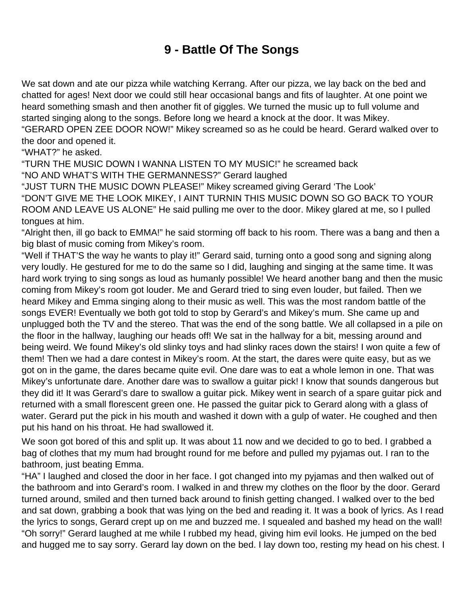## **9 - Battle Of The Songs**

<span id="page-12-0"></span>We sat down and ate our pizza while watching Kerrang. After our pizza, we lay back on the bed and chatted for ages! Next door we could still hear occasional bangs and fits of laughter. At one point we heard something smash and then another fit of giggles. We turned the music up to full volume and started singing along to the songs. Before long we heard a knock at the door. It was Mikey.

"GERARD OPEN ZEE DOOR NOW!" Mikey screamed so as he could be heard. Gerard walked over to the door and opened it.

"WHAT?" he asked.

"TURN THE MUSIC DOWN I WANNA LISTEN TO MY MUSIC!" he screamed back "NO AND WHAT'S WITH THE GERMANNESS?" Gerard laughed

"JUST TURN THE MUSIC DOWN PLEASE!" Mikey screamed giving Gerard 'The Look'

"DON'T GIVE ME THE LOOK MIKEY, I AINT TURNIN THIS MUSIC DOWN SO GO BACK TO YOUR ROOM AND LEAVE US ALONE" He said pulling me over to the door. Mikey glared at me, so I pulled tongues at him.

"Alright then, ill go back to EMMA!" he said storming off back to his room. There was a bang and then a big blast of music coming from Mikey's room.

"Well if THAT'S the way he wants to play it!" Gerard said, turning onto a good song and signing along very loudly. He gestured for me to do the same so I did, laughing and singing at the same time. It was hard work trying to sing songs as loud as humanly possible! We heard another bang and then the music coming from Mikey's room got louder. Me and Gerard tried to sing even louder, but failed. Then we heard Mikey and Emma singing along to their music as well. This was the most random battle of the songs EVER! Eventually we both got told to stop by Gerard's and Mikey's mum. She came up and unplugged both the TV and the stereo. That was the end of the song battle. We all collapsed in a pile on the floor in the hallway, laughing our heads off! We sat in the hallway for a bit, messing around and being weird. We found Mikey's old slinky toys and had slinky races down the stairs! I won quite a few of them! Then we had a dare contest in Mikey's room. At the start, the dares were quite easy, but as we got on in the game, the dares became quite evil. One dare was to eat a whole lemon in one. That was Mikey's unfortunate dare. Another dare was to swallow a guitar pick! I know that sounds dangerous but they did it! It was Gerard's dare to swallow a guitar pick. Mikey went in search of a spare guitar pick and returned with a small florescent green one. He passed the guitar pick to Gerard along with a glass of water. Gerard put the pick in his mouth and washed it down with a gulp of water. He coughed and then put his hand on his throat. He had swallowed it.

We soon got bored of this and split up. It was about 11 now and we decided to go to bed. I grabbed a bag of clothes that my mum had brought round for me before and pulled my pyjamas out. I ran to the bathroom, just beating Emma.

"HA" I laughed and closed the door in her face. I got changed into my pyjamas and then walked out of the bathroom and into Gerard's room. I walked in and threw my clothes on the floor by the door. Gerard turned around, smiled and then turned back around to finish getting changed. I walked over to the bed and sat down, grabbing a book that was lying on the bed and reading it. It was a book of lyrics. As I read the lyrics to songs, Gerard crept up on me and buzzed me. I squealed and bashed my head on the wall! "Oh sorry!" Gerard laughed at me while I rubbed my head, giving him evil looks. He jumped on the bed and hugged me to say sorry. Gerard lay down on the bed. I lay down too, resting my head on his chest. I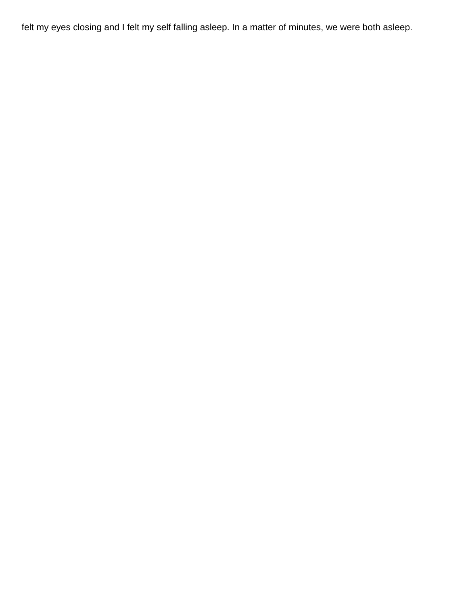felt my eyes closing and I felt my self falling asleep. In a matter of minutes, we were both asleep.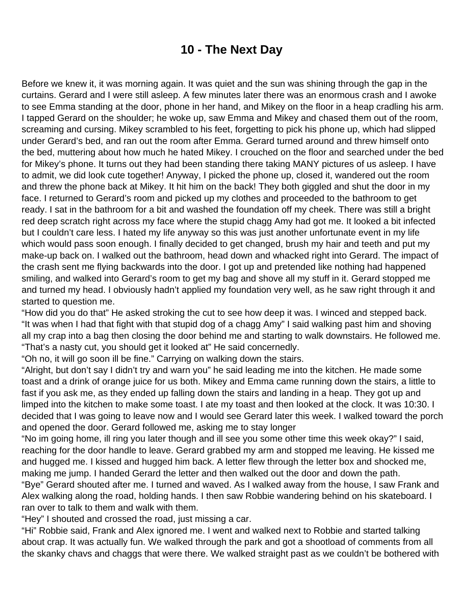### **10 - The Next Day**

<span id="page-14-0"></span>Before we knew it, it was morning again. It was quiet and the sun was shining through the gap in the curtains. Gerard and I were still asleep. A few minutes later there was an enormous crash and I awoke to see Emma standing at the door, phone in her hand, and Mikey on the floor in a heap cradling his arm. I tapped Gerard on the shoulder; he woke up, saw Emma and Mikey and chased them out of the room, screaming and cursing. Mikey scrambled to his feet, forgetting to pick his phone up, which had slipped under Gerard's bed, and ran out the room after Emma. Gerard turned around and threw himself onto the bed, muttering about how much he hated Mikey. I crouched on the floor and searched under the bed for Mikey's phone. It turns out they had been standing there taking MANY pictures of us asleep. I have to admit, we did look cute together! Anyway, I picked the phone up, closed it, wandered out the room and threw the phone back at Mikey. It hit him on the back! They both giggled and shut the door in my face. I returned to Gerard's room and picked up my clothes and proceeded to the bathroom to get ready. I sat in the bathroom for a bit and washed the foundation off my cheek. There was still a bright red deep scratch right across my face where the stupid chagg Amy had got me. It looked a bit infected but I couldn't care less. I hated my life anyway so this was just another unfortunate event in my life which would pass soon enough. I finally decided to get changed, brush my hair and teeth and put my make-up back on. I walked out the bathroom, head down and whacked right into Gerard. The impact of the crash sent me flying backwards into the door. I got up and pretended like nothing had happened smiling, and walked into Gerard's room to get my bag and shove all my stuff in it. Gerard stopped me and turned my head. I obviously hadn't applied my foundation very well, as he saw right through it and started to question me.

"How did you do that" He asked stroking the cut to see how deep it was. I winced and stepped back. "It was when I had that fight with that stupid dog of a chagg Amy" I said walking past him and shoving all my crap into a bag then closing the door behind me and starting to walk downstairs. He followed me. "That's a nasty cut, you should get it looked at" He said concernedly.

"Oh no, it will go soon ill be fine." Carrying on walking down the stairs.

"Alright, but don't say I didn't try and warn you" he said leading me into the kitchen. He made some toast and a drink of orange juice for us both. Mikey and Emma came running down the stairs, a little to fast if you ask me, as they ended up falling down the stairs and landing in a heap. They got up and limped into the kitchen to make some toast. I ate my toast and then looked at the clock. It was 10:30. I decided that I was going to leave now and I would see Gerard later this week. I walked toward the porch and opened the door. Gerard followed me, asking me to stay longer

"No im going home, ill ring you later though and ill see you some other time this week okay?" I said, reaching for the door handle to leave. Gerard grabbed my arm and stopped me leaving. He kissed me and hugged me. I kissed and hugged him back. A letter flew through the letter box and shocked me, making me jump. I handed Gerard the letter and then walked out the door and down the path.

"Bye" Gerard shouted after me. I turned and waved. As I walked away from the house, I saw Frank and Alex walking along the road, holding hands. I then saw Robbie wandering behind on his skateboard. I ran over to talk to them and walk with them.

"Hey" I shouted and crossed the road, just missing a car.

"Hi" Robbie said, Frank and Alex ignored me. I went and walked next to Robbie and started talking about crap. It was actually fun. We walked through the park and got a shootload of comments from all the skanky chavs and chaggs that were there. We walked straight past as we couldn't be bothered with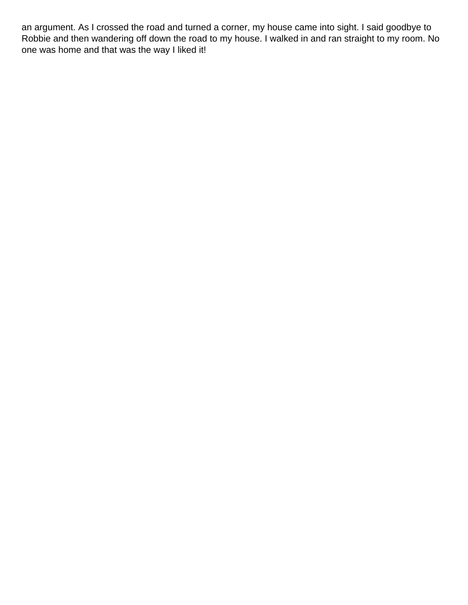an argument. As I crossed the road and turned a corner, my house came into sight. I said goodbye to Robbie and then wandering off down the road to my house. I walked in and ran straight to my room. No one was home and that was the way I liked it!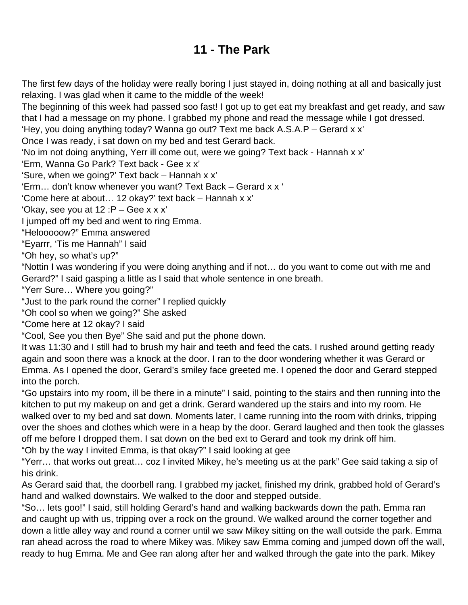## **11 - The Park**

<span id="page-16-0"></span>The first few days of the holiday were really boring I just stayed in, doing nothing at all and basically just relaxing. I was glad when it came to the middle of the week!

The beginning of this week had passed soo fast! I got up to get eat my breakfast and get ready, and saw that I had a message on my phone. I grabbed my phone and read the message while I got dressed.

'Hey, you doing anything today? Wanna go out? Text me back A.S.A.P – Gerard x x'

Once I was ready, i sat down on my bed and test Gerard back.

'No im not doing anything, Yerr ill come out, were we going? Text back - Hannah x x'

'Erm, Wanna Go Park? Text back - Gee x x'

'Sure, when we going?' Text back – Hannah x x'

'Erm… don't know whenever you want? Text Back – Gerard x x '

'Come here at about… 12 okay?' text back – Hannah x x'

'Okay, see you at 12 :P – Gee x x x'

I jumped off my bed and went to ring Emma.

"Helooooow?" Emma answered

"Eyarrr, 'Tis me Hannah" I said

"Oh hey, so what's up?"

"Nottin I was wondering if you were doing anything and if not… do you want to come out with me and Gerard?" I said gasping a little as I said that whole sentence in one breath.

"Yerr Sure… Where you going?"

"Just to the park round the corner" I replied quickly

"Oh cool so when we going?" She asked

"Come here at 12 okay? I said

"Cool, See you then Bye" She said and put the phone down.

It was 11:30 and I still had to brush my hair and teeth and feed the cats. I rushed around getting ready again and soon there was a knock at the door. I ran to the door wondering whether it was Gerard or Emma. As I opened the door, Gerard's smiley face greeted me. I opened the door and Gerard stepped into the porch.

"Go upstairs into my room, ill be there in a minute" I said, pointing to the stairs and then running into the kitchen to put my makeup on and get a drink. Gerard wandered up the stairs and into my room. He walked over to my bed and sat down. Moments later, I came running into the room with drinks, tripping over the shoes and clothes which were in a heap by the door. Gerard laughed and then took the glasses off me before I dropped them. I sat down on the bed ext to Gerard and took my drink off him. "Oh by the way I invited Emma, is that okay?" I said looking at gee

"Yerr… that works out great… coz I invited Mikey, he's meeting us at the park" Gee said taking a sip of his drink.

As Gerard said that, the doorbell rang. I grabbed my jacket, finished my drink, grabbed hold of Gerard's hand and walked downstairs. We walked to the door and stepped outside.

"So… lets goo!" I said, still holding Gerard's hand and walking backwards down the path. Emma ran and caught up with us, tripping over a rock on the ground. We walked around the corner together and down a little alley way and round a corner until we saw Mikey sitting on the wall outside the park. Emma ran ahead across the road to where Mikey was. Mikey saw Emma coming and jumped down off the wall, ready to hug Emma. Me and Gee ran along after her and walked through the gate into the park. Mikey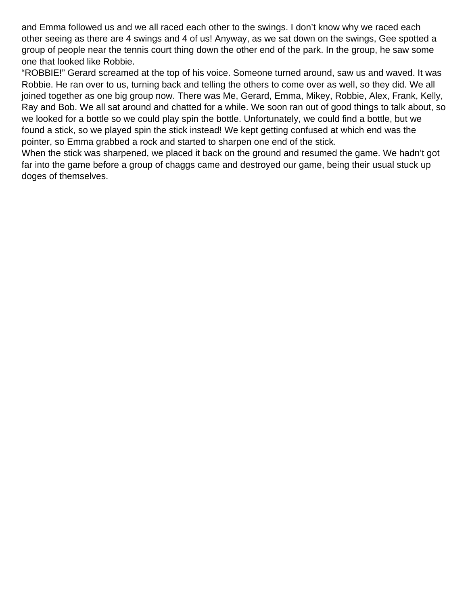and Emma followed us and we all raced each other to the swings. I don't know why we raced each other seeing as there are 4 swings and 4 of us! Anyway, as we sat down on the swings, Gee spotted a group of people near the tennis court thing down the other end of the park. In the group, he saw some one that looked like Robbie.

"ROBBIE!" Gerard screamed at the top of his voice. Someone turned around, saw us and waved. It was Robbie. He ran over to us, turning back and telling the others to come over as well, so they did. We all joined together as one big group now. There was Me, Gerard, Emma, Mikey, Robbie, Alex, Frank, Kelly, Ray and Bob. We all sat around and chatted for a while. We soon ran out of good things to talk about, so we looked for a bottle so we could play spin the bottle. Unfortunately, we could find a bottle, but we found a stick, so we played spin the stick instead! We kept getting confused at which end was the pointer, so Emma grabbed a rock and started to sharpen one end of the stick.

When the stick was sharpened, we placed it back on the ground and resumed the game. We hadn't got far into the game before a group of chaggs came and destroyed our game, being their usual stuck up doges of themselves.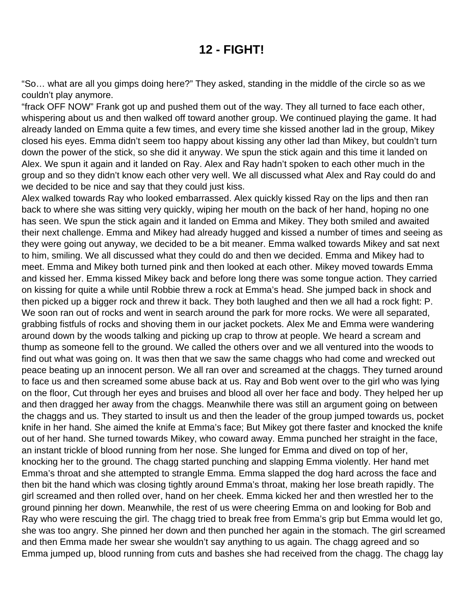#### **12 - FIGHT!**

<span id="page-18-0"></span>"So… what are all you gimps doing here?" They asked, standing in the middle of the circle so as we couldn't play anymore.

"frack OFF NOW" Frank got up and pushed them out of the way. They all turned to face each other, whispering about us and then walked off toward another group. We continued playing the game. It had already landed on Emma quite a few times, and every time she kissed another lad in the group, Mikey closed his eyes. Emma didn't seem too happy about kissing any other lad than Mikey, but couldn't turn down the power of the stick, so she did it anyway. We spun the stick again and this time it landed on Alex. We spun it again and it landed on Ray. Alex and Ray hadn't spoken to each other much in the group and so they didn't know each other very well. We all discussed what Alex and Ray could do and we decided to be nice and say that they could just kiss.

Alex walked towards Ray who looked embarrassed. Alex quickly kissed Ray on the lips and then ran back to where she was sitting very quickly, wiping her mouth on the back of her hand, hoping no one has seen. We spun the stick again and it landed on Emma and Mikey. They both smiled and awaited their next challenge. Emma and Mikey had already hugged and kissed a number of times and seeing as they were going out anyway, we decided to be a bit meaner. Emma walked towards Mikey and sat next to him, smiling. We all discussed what they could do and then we decided. Emma and Mikey had to meet. Emma and Mikey both turned pink and then looked at each other. Mikey moved towards Emma and kissed her. Emma kissed Mikey back and before long there was some tongue action. They carried on kissing for quite a while until Robbie threw a rock at Emma's head. She jumped back in shock and then picked up a bigger rock and threw it back. They both laughed and then we all had a rock fight: P. We soon ran out of rocks and went in search around the park for more rocks. We were all separated, grabbing fistfuls of rocks and shoving them in our jacket pockets. Alex Me and Emma were wandering around down by the woods talking and picking up crap to throw at people. We heard a scream and thump as someone fell to the ground. We called the others over and we all ventured into the woods to find out what was going on. It was then that we saw the same chaggs who had come and wrecked out peace beating up an innocent person. We all ran over and screamed at the chaggs. They turned around to face us and then screamed some abuse back at us. Ray and Bob went over to the girl who was lying on the floor, Cut through her eyes and bruises and blood all over her face and body. They helped her up and then dragged her away from the chaggs. Meanwhile there was still an argument going on between the chaggs and us. They started to insult us and then the leader of the group jumped towards us, pocket knife in her hand. She aimed the knife at Emma's face; But Mikey got there faster and knocked the knife out of her hand. She turned towards Mikey, who coward away. Emma punched her straight in the face, an instant trickle of blood running from her nose. She lunged for Emma and dived on top of her, knocking her to the ground. The chagg started punching and slapping Emma violently. Her hand met Emma's throat and she attempted to strangle Emma. Emma slapped the dog hard across the face and then bit the hand which was closing tightly around Emma's throat, making her lose breath rapidly. The girl screamed and then rolled over, hand on her cheek. Emma kicked her and then wrestled her to the ground pinning her down. Meanwhile, the rest of us were cheering Emma on and looking for Bob and Ray who were rescuing the girl. The chagg tried to break free from Emma's grip but Emma would let go, she was too angry. She pinned her down and then punched her again in the stomach. The girl screamed and then Emma made her swear she wouldn't say anything to us again. The chagg agreed and so Emma jumped up, blood running from cuts and bashes she had received from the chagg. The chagg lay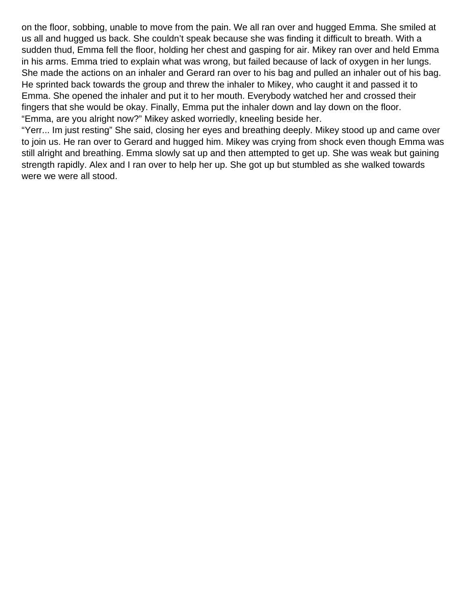on the floor, sobbing, unable to move from the pain. We all ran over and hugged Emma. She smiled at us all and hugged us back. She couldn't speak because she was finding it difficult to breath. With a sudden thud, Emma fell the floor, holding her chest and gasping for air. Mikey ran over and held Emma in his arms. Emma tried to explain what was wrong, but failed because of lack of oxygen in her lungs. She made the actions on an inhaler and Gerard ran over to his bag and pulled an inhaler out of his bag. He sprinted back towards the group and threw the inhaler to Mikey, who caught it and passed it to Emma. She opened the inhaler and put it to her mouth. Everybody watched her and crossed their fingers that she would be okay. Finally, Emma put the inhaler down and lay down on the floor. "Emma, are you alright now?" Mikey asked worriedly, kneeling beside her.

"Yerr... Im just resting" She said, closing her eyes and breathing deeply. Mikey stood up and came over to join us. He ran over to Gerard and hugged him. Mikey was crying from shock even though Emma was still alright and breathing. Emma slowly sat up and then attempted to get up. She was weak but gaining strength rapidly. Alex and I ran over to help her up. She got up but stumbled as she walked towards were we were all stood.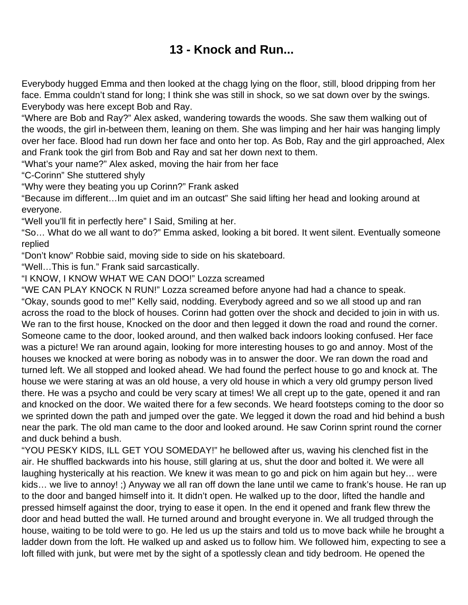## **13 - Knock and Run...**

<span id="page-20-0"></span>Everybody hugged Emma and then looked at the chagg lying on the floor, still, blood dripping from her face. Emma couldn't stand for long; I think she was still in shock, so we sat down over by the swings. Everybody was here except Bob and Ray.

"Where are Bob and Ray?" Alex asked, wandering towards the woods. She saw them walking out of the woods, the girl in-between them, leaning on them. She was limping and her hair was hanging limply over her face. Blood had run down her face and onto her top. As Bob, Ray and the girl approached, Alex and Frank took the girl from Bob and Ray and sat her down next to them.

"What's your name?" Alex asked, moving the hair from her face

"C-Corinn" She stuttered shyly

"Why were they beating you up Corinn?" Frank asked

"Because im different…Im quiet and im an outcast" She said lifting her head and looking around at everyone.

"Well you'll fit in perfectly here" I Said, Smiling at her.

"So… What do we all want to do?" Emma asked, looking a bit bored. It went silent. Eventually someone replied

"Don't know" Robbie said, moving side to side on his skateboard.

"Well…This is fun." Frank said sarcastically.

"I KNOW, I KNOW WHAT WE CAN DOO!" Lozza screamed

"WE CAN PLAY KNOCK N RUN!" Lozza screamed before anyone had had a chance to speak. "Okay, sounds good to me!" Kelly said, nodding. Everybody agreed and so we all stood up and ran across the road to the block of houses. Corinn had gotten over the shock and decided to join in with us. We ran to the first house, Knocked on the door and then legged it down the road and round the corner. Someone came to the door, looked around, and then walked back indoors looking confused. Her face was a picture! We ran around again, looking for more interesting houses to go and annoy. Most of the houses we knocked at were boring as nobody was in to answer the door. We ran down the road and turned left. We all stopped and looked ahead. We had found the perfect house to go and knock at. The house we were staring at was an old house, a very old house in which a very old grumpy person lived there. He was a psycho and could be very scary at times! We all crept up to the gate, opened it and ran and knocked on the door. We waited there for a few seconds. We heard footsteps coming to the door so we sprinted down the path and jumped over the gate. We legged it down the road and hid behind a bush near the park. The old man came to the door and looked around. He saw Corinn sprint round the corner and duck behind a bush.

"YOU PESKY KIDS, ILL GET YOU SOMEDAY!" he bellowed after us, waving his clenched fist in the air. He shuffled backwards into his house, still glaring at us, shut the door and bolted it. We were all laughing hysterically at his reaction. We knew it was mean to go and pick on him again but hey… were kids… we live to annoy! ;) Anyway we all ran off down the lane until we came to frank's house. He ran up to the door and banged himself into it. It didn't open. He walked up to the door, lifted the handle and pressed himself against the door, trying to ease it open. In the end it opened and frank flew threw the door and head butted the wall. He turned around and brought everyone in. We all trudged through the house, waiting to be told were to go. He led us up the stairs and told us to move back while he brought a ladder down from the loft. He walked up and asked us to follow him. We followed him, expecting to see a loft filled with junk, but were met by the sight of a spotlessly clean and tidy bedroom. He opened the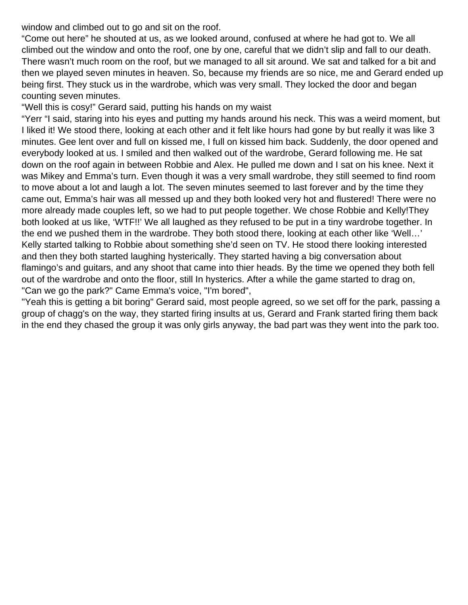window and climbed out to go and sit on the roof.

"Come out here" he shouted at us, as we looked around, confused at where he had got to. We all climbed out the window and onto the roof, one by one, careful that we didn't slip and fall to our death. There wasn't much room on the roof, but we managed to all sit around. We sat and talked for a bit and then we played seven minutes in heaven. So, because my friends are so nice, me and Gerard ended up being first. They stuck us in the wardrobe, which was very small. They locked the door and began counting seven minutes.

"Well this is cosy!" Gerard said, putting his hands on my waist

"Yerr "I said, staring into his eyes and putting my hands around his neck. This was a weird moment, but I liked it! We stood there, looking at each other and it felt like hours had gone by but really it was like 3 minutes. Gee lent over and full on kissed me, I full on kissed him back. Suddenly, the door opened and everybody looked at us. I smiled and then walked out of the wardrobe, Gerard following me. He sat down on the roof again in between Robbie and Alex. He pulled me down and I sat on his knee. Next it was Mikey and Emma's turn. Even though it was a very small wardrobe, they still seemed to find room to move about a lot and laugh a lot. The seven minutes seemed to last forever and by the time they came out, Emma's hair was all messed up and they both looked very hot and flustered! There were no more already made couples left, so we had to put people together. We chose Robbie and Kelly!They both looked at us like, 'WTF!!' We all laughed as they refused to be put in a tiny wardrobe together. In the end we pushed them in the wardrobe. They both stood there, looking at each other like 'Well…' Kelly started talking to Robbie about something she'd seen on TV. He stood there looking interested and then they both started laughing hysterically. They started having a big conversation about flamingo's and guitars, and any shoot that came into thier heads. By the time we opened they both fell out of the wardrobe and onto the floor, still In hysterics. After a while the game started to drag on, "Can we go the park?" Came Emma's voice, "I'm bored",

"Yeah this is getting a bit boring" Gerard said, most people agreed, so we set off for the park, passing a group of chagg's on the way, they started firing insults at us, Gerard and Frank started firing them back in the end they chased the group it was only girls anyway, the bad part was they went into the park too.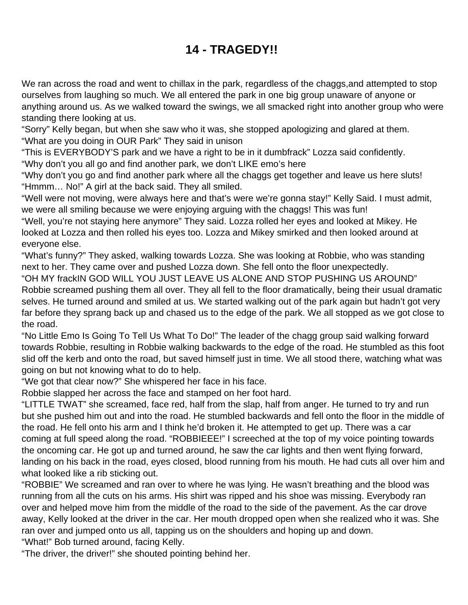# **14 - TRAGEDY!!**

<span id="page-22-0"></span>We ran across the road and went to chillax in the park, regardless of the chaggs, and attempted to stop ourselves from laughing so much. We all entered the park in one big group unaware of anyone or anything around us. As we walked toward the swings, we all smacked right into another group who were standing there looking at us.

"Sorry" Kelly began, but when she saw who it was, she stopped apologizing and glared at them. "What are you doing in OUR Park" They said in unison

"This is EVERYBODY'S park and we have a right to be in it dumbfrack" Lozza said confidently. "Why don't you all go and find another park, we don't LIKE emo's here

"Why don't you go and find another park where all the chaggs get together and leave us here sluts! "Hmmm… No!" A girl at the back said. They all smiled.

"Well were not moving, were always here and that's were we're gonna stay!" Kelly Said. I must admit, we were all smiling because we were enjoying arguing with the chaggs! This was fun!

"Well, you're not staying here anymore" They said. Lozza rolled her eyes and looked at Mikey. He looked at Lozza and then rolled his eyes too. Lozza and Mikey smirked and then looked around at everyone else.

"What's funny?" They asked, walking towards Lozza. She was looking at Robbie, who was standing next to her. They came over and pushed Lozza down. She fell onto the floor unexpectedly.

"OH MY frackIN GOD WILL YOU JUST LEAVE US ALONE AND STOP PUSHING US AROUND" Robbie screamed pushing them all over. They all fell to the floor dramatically, being their usual dramatic selves. He turned around and smiled at us. We started walking out of the park again but hadn't got very far before they sprang back up and chased us to the edge of the park. We all stopped as we got close to the road.

"No Little Emo Is Going To Tell Us What To Do!" The leader of the chagg group said walking forward towards Robbie, resulting in Robbie walking backwards to the edge of the road. He stumbled as this foot slid off the kerb and onto the road, but saved himself just in time. We all stood there, watching what was going on but not knowing what to do to help.

"We got that clear now?" She whispered her face in his face.

Robbie slapped her across the face and stamped on her foot hard.

"LITTLE TWAT" she screamed, face red, half from the slap, half from anger. He turned to try and run but she pushed him out and into the road. He stumbled backwards and fell onto the floor in the middle of the road. He fell onto his arm and I think he'd broken it. He attempted to get up. There was a car coming at full speed along the road. "ROBBIEEE!" I screeched at the top of my voice pointing towards the oncoming car. He got up and turned around, he saw the car lights and then went flying forward, landing on his back in the road, eyes closed, blood running from his mouth. He had cuts all over him and what looked like a rib sticking out.

"ROBBIE" We screamed and ran over to where he was lying. He wasn't breathing and the blood was running from all the cuts on his arms. His shirt was ripped and his shoe was missing. Everybody ran over and helped move him from the middle of the road to the side of the pavement. As the car drove away, Kelly looked at the driver in the car. Her mouth dropped open when she realized who it was. She ran over and jumped onto us all, tapping us on the shoulders and hoping up and down. "What!" Bob turned around, facing Kelly.

"The driver, the driver!" she shouted pointing behind her.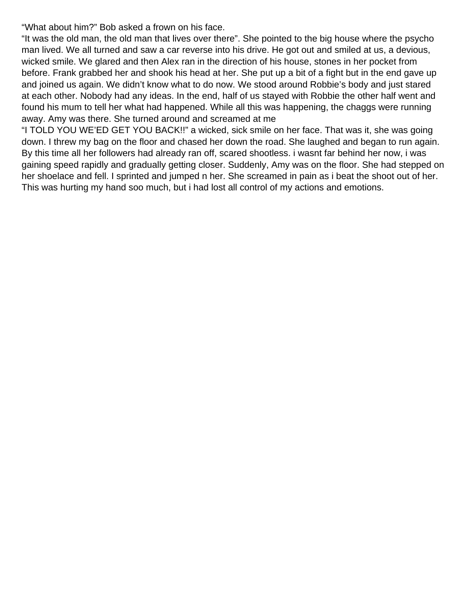"What about him?" Bob asked a frown on his face.

"It was the old man, the old man that lives over there". She pointed to the big house where the psycho man lived. We all turned and saw a car reverse into his drive. He got out and smiled at us, a devious, wicked smile. We glared and then Alex ran in the direction of his house, stones in her pocket from before. Frank grabbed her and shook his head at her. She put up a bit of a fight but in the end gave up and joined us again. We didn't know what to do now. We stood around Robbie's body and just stared at each other. Nobody had any ideas. In the end, half of us stayed with Robbie the other half went and found his mum to tell her what had happened. While all this was happening, the chaggs were running away. Amy was there. She turned around and screamed at me

"I TOLD YOU WE'ED GET YOU BACK!!" a wicked, sick smile on her face. That was it, she was going down. I threw my bag on the floor and chased her down the road. She laughed and began to run again. By this time all her followers had already ran off, scared shootless. i wasnt far behind her now, i was gaining speed rapidly and gradually getting closer. Suddenly, Amy was on the floor. She had stepped on her shoelace and fell. I sprinted and jumped n her. She screamed in pain as i beat the shoot out of her. This was hurting my hand soo much, but i had lost all control of my actions and emotions.